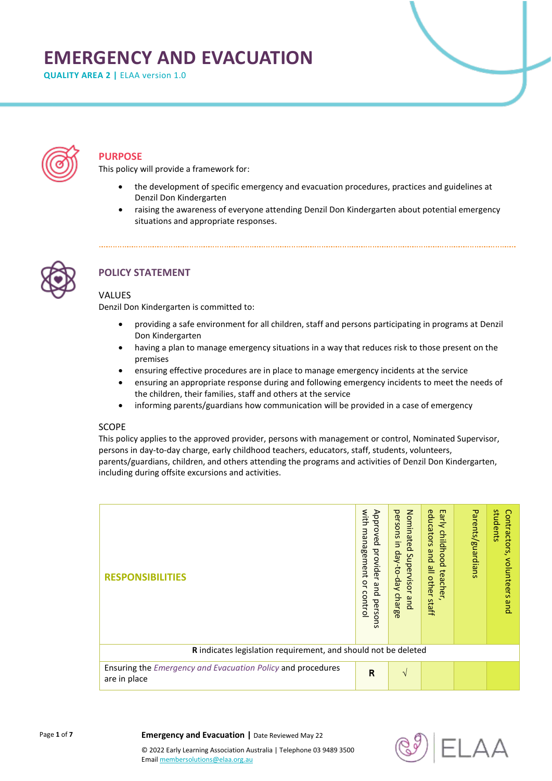# **EMERGENCY AND EVACUATION**

**QUALITY AREA 2 |** ELAA version 1.0



# **PURPOSE**

This policy will provide a framework for:

- the development of specific emergency and evacuation procedures, practices and guidelines at Denzil Don Kindergarten
- raising the awareness of everyone attending Denzil Don Kindergarten about potential emergency situations and appropriate responses.



# **POLICY STATEMENT**

#### **VALUES**

Denzil Don Kindergarten is committed to:

- providing a safe environment for all children, staff and persons participating in programs at Denzil Don Kindergarten
- having a plan to manage emergency situations in a way that reduces risk to those present on the premises
- ensuring effective procedures are in place to manage emergency incidents at the service
- ensuring an appropriate response during and following emergency incidents to meet the needs of the children, their families, staff and others at the service
- informing parents/guardians how communication will be provided in a case of emergency

## **SCOPE**

This policy applies to the approved provider, persons with management or control, Nominated Supervisor, persons in day-to-day charge, early childhood teachers, educators, staff, students, volunteers, parents/guardians, children, and others attending the programs and activities of Denzil Don Kindergarten, including during offsite excursions and activities.

| <b>RESPONSIBILITIES</b>                                                            | with<br>Approved<br>management<br>provider<br>ă<br>and<br>contro<br>persons | Nominated<br>persons<br>Ξ.<br>day-to-day<br>Supervisor<br>charge<br>qnd | educators<br>Early<br>childhood<br>pue<br>all other<br>teacher,<br>staff | Parents/guardians | students<br>Contractors,<br>volunteers<br>pue |  |
|------------------------------------------------------------------------------------|-----------------------------------------------------------------------------|-------------------------------------------------------------------------|--------------------------------------------------------------------------|-------------------|-----------------------------------------------|--|
| R indicates legislation requirement, and should not be deleted                     |                                                                             |                                                                         |                                                                          |                   |                                               |  |
| Ensuring the <i>Emergency and Evacuation Policy</i> and procedures<br>are in place | $\overline{\mathsf{R}}$                                                     | $\mathcal{N}$                                                           |                                                                          |                   |                                               |  |

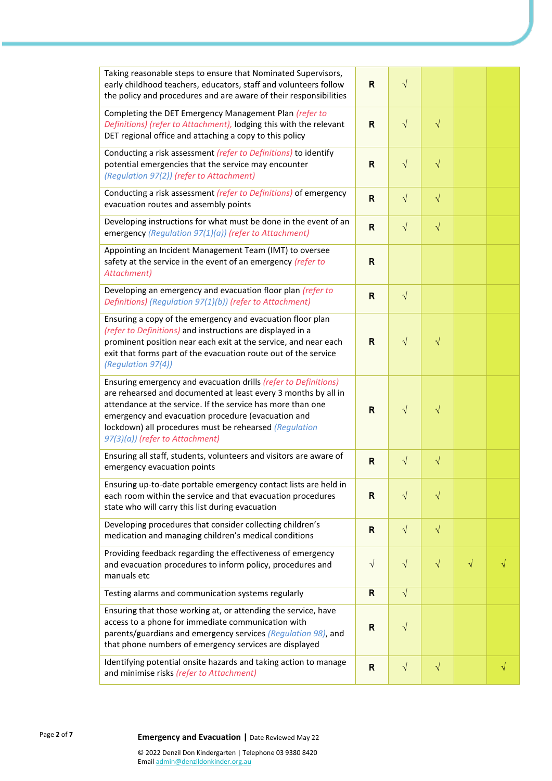| Taking reasonable steps to ensure that Nominated Supervisors,<br>early childhood teachers, educators, staff and volunteers follow<br>the policy and procedures and are aware of their responsibilities                                                                                                                                              | $\mathsf{R}$ | $\sqrt{}$  |           |           |   |
|-----------------------------------------------------------------------------------------------------------------------------------------------------------------------------------------------------------------------------------------------------------------------------------------------------------------------------------------------------|--------------|------------|-----------|-----------|---|
| Completing the DET Emergency Management Plan (refer to<br>Definitions) (refer to Attachment), lodging this with the relevant<br>DET regional office and attaching a copy to this policy                                                                                                                                                             | R            | $\sqrt{}$  | $\sqrt{}$ |           |   |
| Conducting a risk assessment (refer to Definitions) to identify<br>potential emergencies that the service may encounter<br>(Regulation 97(2)) (refer to Attachment)                                                                                                                                                                                 | $\mathsf{R}$ | $\sqrt{}$  | $\sqrt{}$ |           |   |
| Conducting a risk assessment (refer to Definitions) of emergency<br>evacuation routes and assembly points                                                                                                                                                                                                                                           | R            | $\sqrt{ }$ | $\sqrt{}$ |           |   |
| Developing instructions for what must be done in the event of an<br>emergency (Regulation 97(1)(a)) (refer to Attachment)                                                                                                                                                                                                                           | $\mathsf{R}$ | $\sqrt{}$  | $\sqrt{}$ |           |   |
| Appointing an Incident Management Team (IMT) to oversee<br>safety at the service in the event of an emergency (refer to<br>Attachment)                                                                                                                                                                                                              | $\mathsf{R}$ |            |           |           |   |
| Developing an emergency and evacuation floor plan (refer to<br>Definitions) (Regulation 97(1)(b)) (refer to Attachment)                                                                                                                                                                                                                             | R            | $\sqrt{ }$ |           |           |   |
| Ensuring a copy of the emergency and evacuation floor plan<br>(refer to Definitions) and instructions are displayed in a<br>prominent position near each exit at the service, and near each<br>exit that forms part of the evacuation route out of the service<br>(Regulation 97(4))                                                                | R            | $\sqrt{}$  | $\sqrt{}$ |           |   |
| Ensuring emergency and evacuation drills (refer to Definitions)<br>are rehearsed and documented at least every 3 months by all in<br>attendance at the service. If the service has more than one<br>emergency and evacuation procedure (evacuation and<br>lockdown) all procedures must be rehearsed (Regulation<br>97(3)(a)) (refer to Attachment) | R            | $\sqrt{}$  | $\sqrt{}$ |           |   |
| Ensuring all staff, students, volunteers and visitors are aware of<br>emergency evacuation points                                                                                                                                                                                                                                                   | $\mathsf{R}$ | $\sqrt{}$  | $\sqrt{}$ |           |   |
| Ensuring up-to-date portable emergency contact lists are held in<br>each room within the service and that evacuation procedures<br>state who will carry this list during evacuation                                                                                                                                                                 | R            | $\sqrt{}$  | $\sqrt{}$ |           |   |
| Developing procedures that consider collecting children's<br>medication and managing children's medical conditions                                                                                                                                                                                                                                  | R            | $\sqrt{}$  | $\sqrt{}$ |           |   |
| Providing feedback regarding the effectiveness of emergency<br>and evacuation procedures to inform policy, procedures and<br>manuals etc                                                                                                                                                                                                            | $\sqrt{}$    | $\sqrt{}$  | $\sqrt{}$ | $\sqrt{}$ |   |
| Testing alarms and communication systems regularly                                                                                                                                                                                                                                                                                                  | $\mathsf{R}$ | $\sqrt{}$  |           |           |   |
| Ensuring that those working at, or attending the service, have<br>access to a phone for immediate communication with<br>parents/guardians and emergency services (Regulation 98), and<br>that phone numbers of emergency services are displayed                                                                                                     | $\mathsf{R}$ | $\sqrt{}$  |           |           |   |
| Identifying potential onsite hazards and taking action to manage<br>and minimise risks (refer to Attachment)                                                                                                                                                                                                                                        | $\mathsf{R}$ | $\sqrt{}$  | $\sqrt{}$ |           | V |

# Page **<sup>2</sup>** of **<sup>7</sup> Emergency and Evacuation |** Date Reviewed May 22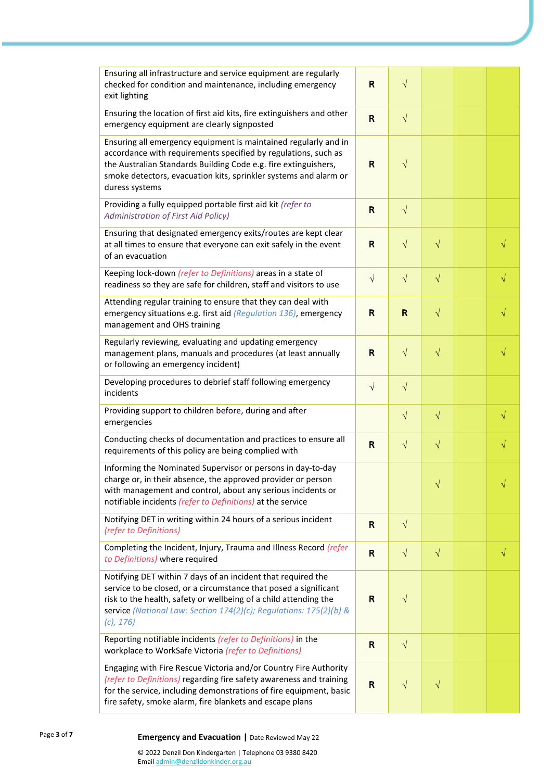| Ensuring all infrastructure and service equipment are regularly<br>checked for condition and maintenance, including emergency<br>exit lighting                                                                                                                                             | R            | $\sqrt{}$   |           |           |
|--------------------------------------------------------------------------------------------------------------------------------------------------------------------------------------------------------------------------------------------------------------------------------------------|--------------|-------------|-----------|-----------|
| Ensuring the location of first aid kits, fire extinguishers and other<br>emergency equipment are clearly signposted                                                                                                                                                                        | $\mathsf{R}$ | $\sqrt{}$   |           |           |
| Ensuring all emergency equipment is maintained regularly and in<br>accordance with requirements specified by regulations, such as<br>the Australian Standards Building Code e.g. fire extinguishers,<br>smoke detectors, evacuation kits, sprinkler systems and alarm or<br>duress systems | R            | $\sqrt{}$   |           |           |
| Providing a fully equipped portable first aid kit (refer to<br>Administration of First Aid Policy)                                                                                                                                                                                         | $\mathsf{R}$ | $\sqrt{ }$  |           |           |
| Ensuring that designated emergency exits/routes are kept clear<br>at all times to ensure that everyone can exit safely in the event<br>of an evacuation                                                                                                                                    | R            | $\sqrt{}$   | $\sqrt{}$ | $\sqrt{}$ |
| Keeping lock-down (refer to Definitions) areas in a state of<br>readiness so they are safe for children, staff and visitors to use                                                                                                                                                         | $\sqrt{}$    | $\sqrt{}$   | $\sqrt{}$ | $\sqrt{}$ |
| Attending regular training to ensure that they can deal with<br>emergency situations e.g. first aid (Regulation 136), emergency<br>management and OHS training                                                                                                                             | R            | $\mathsf R$ | $\sqrt{}$ | V         |
| Regularly reviewing, evaluating and updating emergency<br>management plans, manuals and procedures (at least annually<br>or following an emergency incident)                                                                                                                               | $\mathsf{R}$ | $\sqrt{}$   | $\sqrt{}$ | $\sqrt{}$ |
| Developing procedures to debrief staff following emergency<br>incidents                                                                                                                                                                                                                    | $\sqrt{}$    | $\sqrt{}$   |           |           |
| Providing support to children before, during and after<br>emergencies                                                                                                                                                                                                                      |              | $\sqrt{}$   | $\sqrt{}$ | V         |
| Conducting checks of documentation and practices to ensure all<br>requirements of this policy are being complied with                                                                                                                                                                      | $\mathsf{R}$ | $\sqrt{}$   | $\sqrt{}$ | V         |
| Informing the Nominated Supervisor or persons in day-to-day<br>charge or, in their absence, the approved provider or person<br>with management and control, about any serious incidents or<br>notifiable incidents (refer to Definitions) at the service                                   |              |             |           |           |
| Notifying DET in writing within 24 hours of a serious incident<br>(refer to Definitions)                                                                                                                                                                                                   | R            | $\sqrt{}$   |           |           |
| Completing the Incident, Injury, Trauma and Illness Record (refer<br>to Definitions) where required                                                                                                                                                                                        | $\mathsf{R}$ | $\sqrt{ }$  | $\sqrt{}$ | $\sqrt{}$ |
| Notifying DET within 7 days of an incident that required the<br>service to be closed, or a circumstance that posed a significant<br>risk to the health, safety or wellbeing of a child attending the<br>service (National Law: Section 174(2)(c); Regulations: 175(2)(b) &<br>$(c)$ , 176) | $\mathsf{R}$ | $\sqrt{}$   |           |           |
| Reporting notifiable incidents (refer to Definitions) in the<br>workplace to WorkSafe Victoria (refer to Definitions)                                                                                                                                                                      | $\mathsf{R}$ | $\sqrt{ }$  |           |           |
| Engaging with Fire Rescue Victoria and/or Country Fire Authority<br>(refer to Definitions) regarding fire safety awareness and training<br>for the service, including demonstrations of fire equipment, basic<br>fire safety, smoke alarm, fire blankets and escape plans                  | $\mathsf{R}$ | $\sqrt{}$   | $\sqrt{}$ |           |

# **<sup>7</sup> Emergency and Evacuation |** Date Reviewed May 22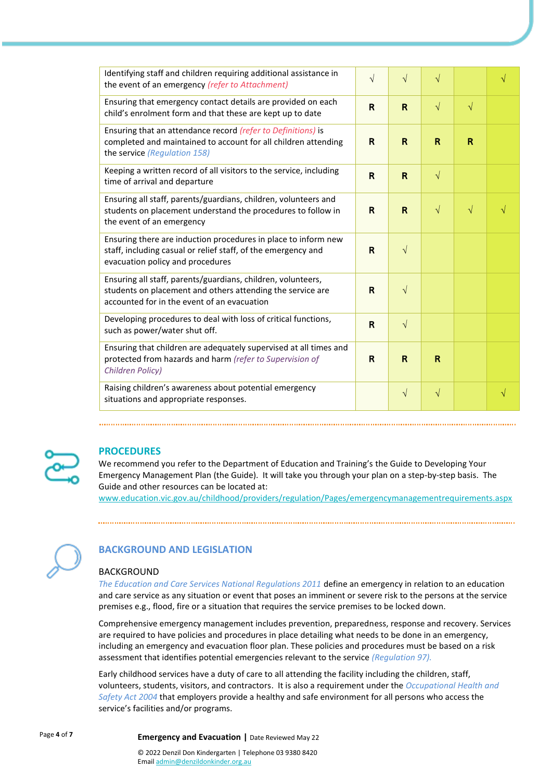| Identifying staff and children requiring additional assistance in<br>the event of an emergency (refer to Attachment)                                                      | $\sqrt{}$    | $\sqrt{}$    | $\sqrt{}$ |           |           |
|---------------------------------------------------------------------------------------------------------------------------------------------------------------------------|--------------|--------------|-----------|-----------|-----------|
| Ensuring that emergency contact details are provided on each<br>child's enrolment form and that these are kept up to date                                                 | $\mathbf R$  | $\mathsf{R}$ | $\sqrt{}$ | $\sqrt{}$ |           |
| Ensuring that an attendance record (refer to Definitions) is<br>completed and maintained to account for all children attending<br>the service (Regulation 158)            | R            | R            | R         | R         |           |
| Keeping a written record of all visitors to the service, including<br>time of arrival and departure                                                                       | $\mathsf{R}$ | $\mathsf{R}$ | $\sqrt{}$ |           |           |
| Ensuring all staff, parents/guardians, children, volunteers and<br>students on placement understand the procedures to follow in<br>the event of an emergency              | $\mathsf{R}$ | $\mathsf{R}$ | $\sqrt{}$ | $\sqrt{}$ |           |
| Ensuring there are induction procedures in place to inform new<br>staff, including casual or relief staff, of the emergency and<br>evacuation policy and procedures       | R            | $\sqrt{ }$   |           |           |           |
| Ensuring all staff, parents/guardians, children, volunteers,<br>students on placement and others attending the service are<br>accounted for in the event of an evacuation | $\mathsf{R}$ | $\sqrt{ }$   |           |           |           |
| Developing procedures to deal with loss of critical functions,<br>such as power/water shut off.                                                                           | $\mathsf{R}$ | $\sqrt{ }$   |           |           |           |
| Ensuring that children are adequately supervised at all times and<br>protected from hazards and harm (refer to Supervision of<br>Children Policy)                         | R            | R            | R         |           |           |
| Raising children's awareness about potential emergency<br>situations and appropriate responses.                                                                           |              | $\sqrt{ }$   | $\sqrt{}$ |           | $\sqrt{}$ |



# **PROCEDURES**

We recommend you refer to the Department of Education and Training's the Guide to Developing Your Emergency Management Plan (the Guide). It will take you through your plan on a step-by-step basis. The Guide and other resources can be located at:

[www.education.vic.gov.au/childhood/providers/regulation/Pages/emergencymanagementrequirements.aspx](https://www.education.vic.gov.au/childhood/providers/regulation/Pages/emergencymanagementrequirements.aspx)



# **BACKGROUND AND LEGISLATION**

#### BACKGROUND

*The Education and Care Services National Regulations 2011* define an emergency in relation to an education and care service as any situation or event that poses an imminent or severe risk to the persons at the service premises e.g., flood, fire or a situation that requires the service premises to be locked down.

Comprehensive emergency management includes prevention, preparedness, response and recovery. Services are required to have policies and procedures in place detailing what needs to be done in an emergency, including an emergency and evacuation floor plan. These policies and procedures must be based on a risk assessment that identifies potential emergencies relevant to the service *(Regulation 97).*

Early childhood services have a duty of care to all attending the facility including the children, staff, volunteers, students, visitors, and contractors. It is also a requirement under the *Occupational Health and Safety Act 2004* that employers provide a healthy and safe environment for all persons who access the service's facilities and/or programs.

Page **<sup>4</sup>** of **<sup>7</sup> Emergency and Evacuation |** Date Reviewed May 22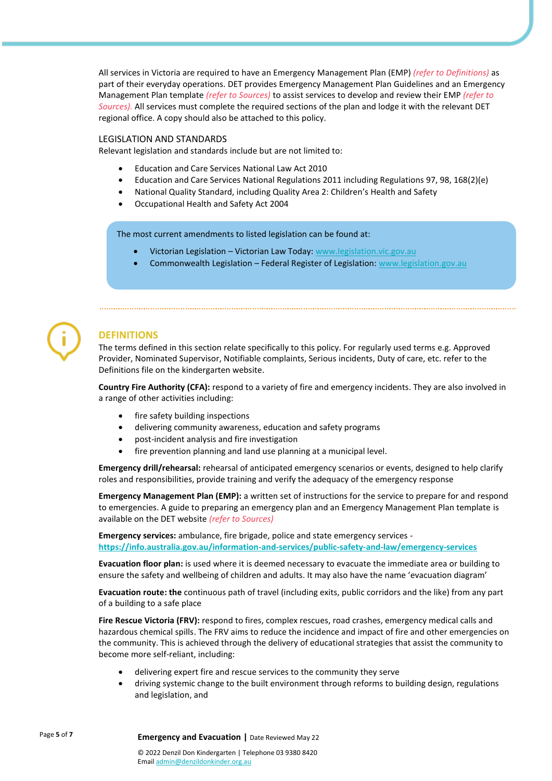All services in Victoria are required to have an Emergency Management Plan (EMP) *(refer to Definitions)* as part of their everyday operations. DET provides Emergency Management Plan Guidelines and an Emergency Management Plan template *(refer to Sources)* to assist services to develop and review their EMP *(refer to Sources).* All services must complete the required sections of the plan and lodge it with the relevant DET regional office. A copy should also be attached to this policy.

#### LEGISLATION AND STANDARDS

Relevant legislation and standards include but are not limited to:

- Education and Care Services National Law Act 2010
- Education and Care Services National Regulations 2011 including Regulations 97, 98, 168(2)(e)
- National Quality Standard, including Quality Area 2: Children's Health and Safety
- Occupational Health and Safety Act 2004

The most current amendments to listed legislation can be found at:

- Victorian Legislation Victorian Law Today[: www.legislation.vic.gov.au](http://www.legislation.vic.gov.au/)
- Commonwealth Legislation Federal Register of Legislation: [www.legislation.gov.au](http://www.legislation.gov.au/)



# **DEFINITIONS**

The terms defined in this section relate specifically to this policy. For regularly used terms e.g. Approved Provider, Nominated Supervisor, Notifiable complaints, Serious incidents, Duty of care, etc. refer to the Definitions file on the kindergarten website.

**Country Fire Authority (CFA):** respond to a variety of fire and emergency incidents. They are also involved in a range of other activities including:

- fire safety building inspections
- delivering community awareness, education and safety programs
- post-incident analysis and fire investigation
- fire prevention planning and land use planning at a municipal level.

**Emergency drill/rehearsal:** rehearsal of anticipated emergency scenarios or events, designed to help clarify roles and responsibilities, provide training and verify the adequacy of the emergency response

**Emergency Management Plan (EMP):** a written set of instructions for the service to prepare for and respond to emergencies. A guide to preparing an emergency plan and an Emergency Management Plan template is available on the DET website *(refer to Sources)*

**Emergency services:** ambulance, fire brigade, police and state emergency services **<https://info.australia.gov.au/information-and-services/public-safety-and-law/emergency-services>**

**Evacuation floor plan:** is used where it is deemed necessary to evacuate the immediate area or building to ensure the safety and wellbeing of children and adults. It may also have the name 'evacuation diagram'

**Evacuation route: the** continuous path of travel (including exits, public corridors and the like) from any part of a building to a safe place

**Fire Rescue Victoria (FRV):** respond to fires, complex rescues, road crashes, emergency medical calls and hazardous chemical spills. The FRV aims to reduce the incidence and impact of fire and other emergencies on the community. This is achieved through the delivery of educational strategies that assist the community to become more self-reliant, including:

- delivering expert fire and rescue services to the community they serve
- driving systemic change to the built environment through reforms to building design, regulations and legislation, and

Page **<sup>5</sup>** of **<sup>7</sup> Emergency and Evacuation |** Date Reviewed May 22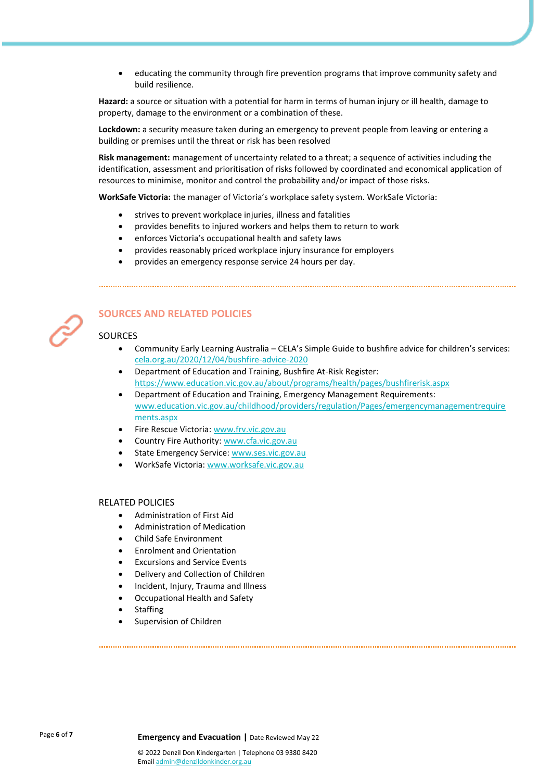• educating the community through fire prevention programs that improve community safety and build resilience.

**Hazard:** a source or situation with a potential for harm in terms of human injury or ill health, damage to property, damage to the environment or a combination of these.

**Lockdown:** a security measure taken during an emergency to prevent people from leaving or entering a building or premises until the threat or risk has been resolved

**Risk management:** management of uncertainty related to a threat; a sequence of activities including the identification, assessment and prioritisation of risks followed by coordinated and economical application of resources to minimise, monitor and control the probability and/or impact of those risks.

**WorkSafe Victoria:** the manager of Victoria's workplace safety system. WorkSafe Victoria:

- strives to prevent workplace injuries, illness and fatalities
- provides benefits to injured workers and helps them to return to work
- enforces Victoria's occupational health and safety laws
- provides reasonably priced workplace injury insurance for employers
- provides an emergency response service 24 hours per day.



# **SOURCES AND RELATED POLICIES**

#### SOURCES

- Community Early Learning Australia CELA's Simple Guide to bushfire advice for children's services: [cela.org.au/2020/12/04/bushfire-advice-2020](https://www.cela.org.au/publications/amplify!-blog/dec-2020/bushfire-advice-2020)
- Department of Education and Training, Bushfire At-Risk Register: <https://www.education.vic.gov.au/about/programs/health/pages/bushfirerisk.aspx>
- Department of Education and Training, Emergency Management Requirements: [www.education.vic.gov.au/childhood/providers/regulation/Pages/emergencymanagementrequire](https://www.education.vic.gov.au/childhood/providers/regulation/Pages/emergencymanagementrequirements.aspx) [ments.aspx](https://www.education.vic.gov.au/childhood/providers/regulation/Pages/emergencymanagementrequirements.aspx)
- Fire Rescue Victoria[: www.frv.vic.gov.au](https://www.frv.vic.gov.au/)
- Country Fire Authority[: www.cfa.vic.gov.au](https://www.cfa.vic.gov.au/)
- State Emergency Service: [www.ses.vic.gov.au](https://www.ses.vic.gov.au/)
- WorkSafe Victoria[: www.worksafe.vic.gov.au](http://www.worksafe.vic.gov.au/)

#### RELATED POLICIES

- Administration of First Aid
- Administration of Medication
- Child Safe Environment
- Enrolment and Orientation
- Excursions and Service Events
- Delivery and Collection of Children
- Incident, Injury, Trauma and Illness
- Occupational Health and Safety
- **Staffing**
- Supervision of Children